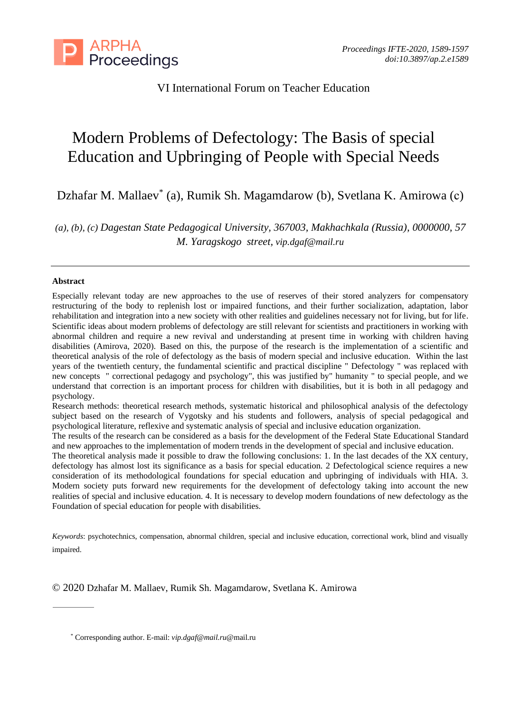

VI International Forum on Teacher Education

# Modern Problems of Defectology: The Basis of special Education and Upbringing of People with Special Needs

Dzhafar M. Mallaev \* (a), Rumik Sh. Magamdarow (b), Svetlana K. Amirowa (с)

*(a), (b), (c) Dagestan State Pedagogical University, 367003, Makhachkala (Russia), 0000000, 57 M. Yaragskogo street, [vip.dgaf@mail.ru](mailto:vip.dgaf@mail.ru)*

### **Abstract**

Especially relevant today are new approaches to the use of reserves of their stored analyzers for compensatory restructuring of the body to replenish lost or impaired functions, and their further socialization, adaptation, labor rehabilitation and integration into a new society with other realities and guidelines necessary not for living, but for life. Scientific ideas about modern problems of defectology are still relevant for scientists and practitioners in working with abnormal children and require a new revival and understanding at present time in working with children having disabilities (Amirova, 2020). Based on this, the purpose of the research is the implementation of a scientific and theoretical analysis of the role of defectology as the basis of modern special and inclusive education. Within the last years of the twentieth century, the fundamental scientific and practical discipline " Defectology " was replaced with new concepts " correctional pedagogy and psychology", this was justified by" humanity " to special people, and we understand that correction is an important process for children with disabilities, but it is both in all pedagogy and psychology.

Research methods: theoretical research methods, systematic historical and philosophical analysis of the defectology subject based on the research of Vygotsky and his students and followers, analysis of special pedagogical and psychological literature, reflexive and systematic analysis of special and inclusive education organization.

The results of the research can be considered as a basis for the development of the Federal State Educational Standard and new approaches to the implementation of modern trends in the development of special and inclusive education.

The theoretical analysis made it possible to draw the following conclusions: 1. In the last decades of the XX century, defectology has almost lost its significance as a basis for special education. 2 Defectological science requires a new consideration of its methodological foundations for special education and upbringing of individuals with HIA. 3. Modern society puts forward new requirements for the development of defectology taking into account the new realities of special and inclusive education. 4. It is necessary to develop modern foundations of new defectology as the Foundation of special education for people with disabilities.

*Keywords*: psychotechnics, compensation, abnormal children, special and inclusive education, correctional work, blind and visually impaired.

© 2020 Dzhafar M. Mallaev, Rumik Sh. Magamdarow, Svetlana K. Amirowa

<sup>\*</sup> Corresponding author. E-mail: *[vip.dgaf@mail.ru](mailto:vip.dgaf@mail.ru)*@mail.ru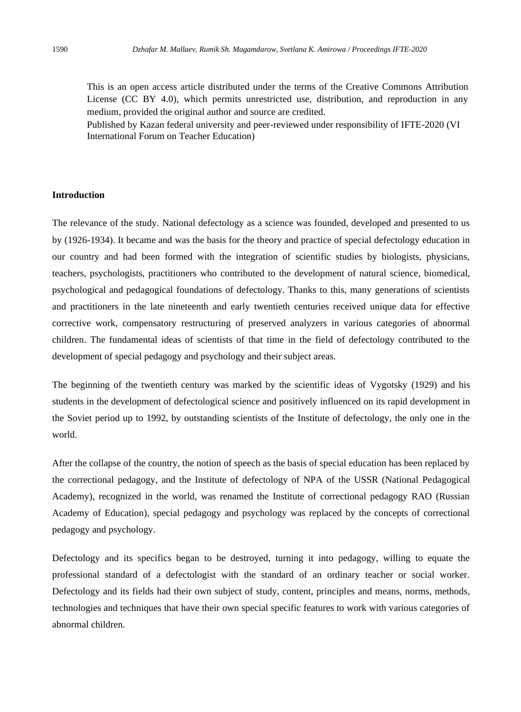This is an open access article distributed under the terms of the Creative Commons Attribution License (CC BY 4.0), which permits unrestricted use, distribution, and reproduction in any medium, provided the original author and source are credited.

Published by Kazan federal university and peer-reviewed under responsibility of IFTE-2020 (VI International Forum on Teacher Education)

## **Introduction**

The relevance of the study. National defectology as a science was founded, developed and presented to us by (1926-1934). It became and was the basis for the theory and practice of special defectology education in our country and had been formed with the integration of scientific studies by biologists, physicians, teachers, psychologists, practitioners who contributed to the development of natural science, biomedical, psychological and pedagogical foundations of defectology. Thanks to this, many generations of scientists and practitioners in the late nineteenth and early twentieth centuries received unique data for effective corrective work, compensatory restructuring of preserved analyzers in various categories of abnormal children. The fundamental ideas of scientists of that time in the field of defectology contributed to the development of special pedagogy and psychology and their subject areas.

The beginning of the twentieth century was marked by the scientific ideas of Vygotsky (1929) and his students in the development of defectological science and positively influenced on its rapid development in the Soviet period up to 1992, by outstanding scientists of the Institute of defectology, the only one in the world.

After the collapse of the country, the notion of speech as the basis of special education has been replaced by the correctional pedagogy, and the Institute of defectology of NPA of the USSR (National Pedagogical Academy), recognized in the world, was renamed the Institute of correctional pedagogy RAO (Russian Academy of Education), special pedagogy and psychology was replaced by the concepts of correctional pedagogy and psychology.

Defectology and its specifics began to be destroyed, turning it into pedagogy, willing to equate the professional standard of a defectologist with the standard of an ordinary teacher or social worker. Defectology and its fields had their own subject of study, content, principles and means, norms, methods, technologies and techniques that have their own special specific features to work with various categories of abnormal children.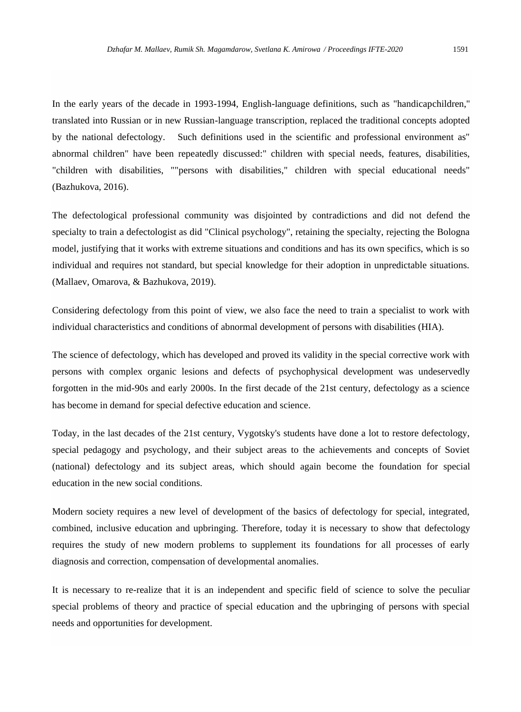In the early years of the decade in 1993-1994, English-language definitions, such as "handicapchildren," translated into Russian or in new Russian-language transcription, replaced the traditional concepts adopted by the national defectology. Such definitions used in the scientific and professional environment as" abnormal children" have been repeatedly discussed:" children with special needs, features, disabilities, "children with disabilities, ""persons with disabilities," children with special educational needs" (Bazhukova, 2016).

The defectological professional community was disjointed by contradictions and did not defend the specialty to train a defectologist as did "Clinical psychology", retaining the specialty, rejecting the Bologna model, justifying that it works with extreme situations and conditions and has its own specifics, which is so individual and requires not standard, but special knowledge for their adoption in unpredictable situations. (Mallaev, Omarova, & Bazhukova, 2019).

Considering defectology from this point of view, we also face the need to train a specialist to work with individual characteristics and conditions of abnormal development of persons with disabilities (HIA).

The science of defectology, which has developed and proved its validity in the special corrective work with persons with complex organic lesions and defects of psychophysical development was undeservedly forgotten in the mid-90s and early 2000s. In the first decade of the 21st century, defectology as a science has become in demand for special defective education and science.

Today, in the last decades of the 21st century, Vygotsky's students have done a lot to restore defectology, special pedagogy and psychology, and their subject areas to the achievements and concepts of Soviet (national) defectology and its subject areas, which should again become the foundation for special education in the new social conditions.

Modern society requires a new level of development of the basics of defectology for special, integrated, combined, inclusive education and upbringing. Therefore, today it is necessary to show that defectology requires the study of new modern problems to supplement its foundations for all processes of early diagnosis and correction, compensation of developmental anomalies.

It is necessary to re-realize that it is an independent and specific field of science to solve the peculiar special problems of theory and practice of special education and the upbringing of persons with special needs and opportunities for development.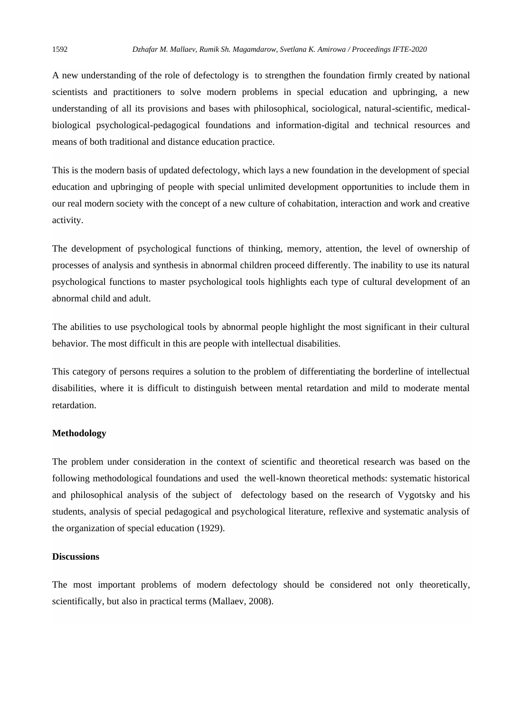A new understanding of the role of defectology is to strengthen the foundation firmly created by national scientists and practitioners to solve modern problems in special education and upbringing, a new understanding of all its provisions and bases with philosophical, sociological, natural-scientific, medicalbiological psychological-pedagogical foundations and information-digital and technical resources and means of both traditional and distance education practice.

This is the modern basis of updated defectology, which lays a new foundation in the development of special education and upbringing of people with special unlimited development opportunities to include them in our real modern society with the concept of a new culture of cohabitation, interaction and work and creative activity.

The development of psychological functions of thinking, memory, attention, the level of ownership of processes of analysis and synthesis in abnormal children proceed differently. The inability to use its natural psychological functions to master psychological tools highlights each type of cultural development of an abnormal child and adult.

The abilities to use psychological tools by abnormal people highlight the most significant in their cultural behavior. The most difficult in this are people with intellectual disabilities.

This category of persons requires a solution to the problem of differentiating the borderline of intellectual disabilities, where it is difficult to distinguish between mental retardation and mild to moderate mental retardation.

#### **Methodology**

The problem under consideration in the context of scientific and theoretical research was based on the following methodological foundations and used the well-known theoretical methods: systematic historical and philosophical analysis of the subject of defectology based on the research of Vygotsky and his students, analysis of special pedagogical and psychological literature, reflexive and systematic analysis of the organization of special education (1929).

## **Discussions**

The most important problems of modern defectology should be considered not only theoretically, scientifically, but also in practical terms (Mallaev, 2008).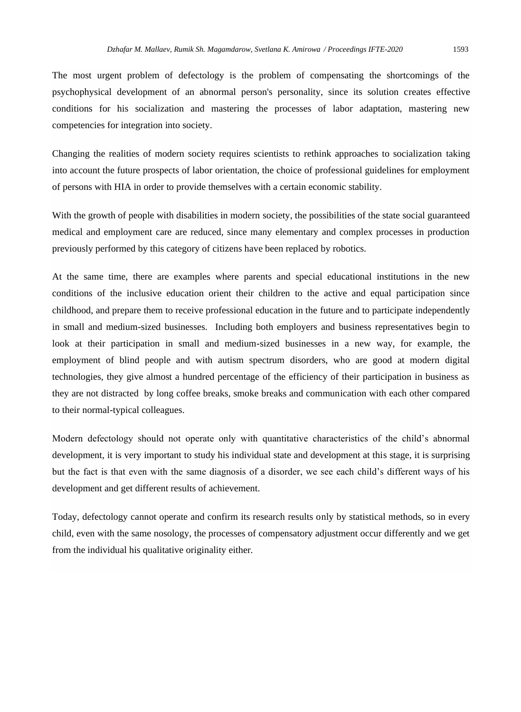The most urgent problem of defectology is the problem of compensating the shortcomings of the psychophysical development of an abnormal person's personality, since its solution creates effective conditions for his socialization and mastering the processes of labor adaptation, mastering new competencies for integration into society.

Changing the realities of modern society requires scientists to rethink approaches to socialization taking into account the future prospects of labor orientation, the choice of professional guidelines for employment of persons with HIA in order to provide themselves with a certain economic stability.

With the growth of people with disabilities in modern society, the possibilities of the state social guaranteed medical and employment care are reduced, since many elementary and complex processes in production previously performed by this category of citizens have been replaced by robotics.

At the same time, there are examples where parents and special educational institutions in the new conditions of the inclusive education orient their children to the active and equal participation since childhood, and prepare them to receive professional education in the future and to participate independently in small and medium-sized businesses. Including both employers and business representatives begin to look at their participation in small and medium-sized businesses in a new way, for example, the employment of blind people and with autism spectrum disorders, who are good at modern digital technologies, they give almost a hundred percentage of the efficiency of their participation in business as they are not distracted by long coffee breaks, smoke breaks and communication with each other compared to their normal-typical colleagues.

Modern defectology should not operate only with quantitative characteristics of the child's abnormal development, it is very important to study his individual state and development at this stage, it is surprising but the fact is that even with the same diagnosis of a disorder, we see each child's different ways of his development and get different results of achievement.

Today, defectology cannot operate and confirm its research results only by statistical methods, so in every child, even with the same nosology, the processes of compensatory adjustment occur differently and we get from the individual his qualitative originality either.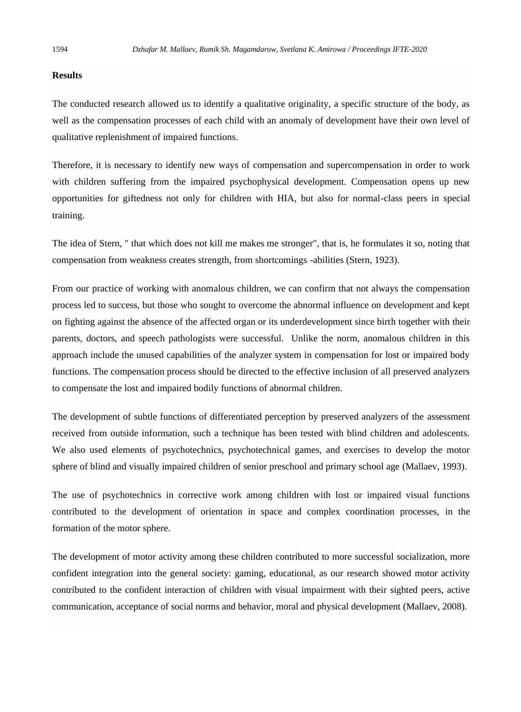### **Results**

The conducted research allowed us to identify a qualitative originality, a specific structure of the body, as well as the compensation processes of each child with an anomaly of development have their own level of qualitative replenishment of impaired functions.

Therefore, it is necessary to identify new ways of compensation and supercompensation in order to work with children suffering from the impaired psychophysical development. Compensation opens up new opportunities for giftedness not only for children with HIA, but also for normal-class peers in special training.

The idea of Stern, " that which does not kill me makes me stronger", that is, he formulates it so, noting that compensation from weakness creates strength, from shortcomings -abilities (Stern, 1923).

From our practice of working with anomalous children, we can confirm that not always the compensation process led to success, but those who sought to overcome the abnormal influence on development and kept on fighting against the absence of the affected organ or its underdevelopment since birth together with their parents, doctors, and speech pathologists were successful. Unlike the norm, anomalous children in this approach include the unused capabilities of the analyzer system in compensation for lost or impaired body functions. The compensation process should be directed to the effective inclusion of all preserved analyzers to compensate the lost and impaired bodily functions of abnormal children.

The development of subtle functions of differentiated perception by preserved analyzers of the assessment received from outside information, such a technique has been tested with blind children and adolescents. We also used elements of psychotechnics, psychotechnical games, and exercises to develop the motor sphere of blind and visually impaired children of senior preschool and primary school age (Mallaev, 1993).

The use of psychotechnics in corrective work among children with lost or impaired visual functions contributed to the development of orientation in space and complex coordination processes, in the formation of the motor sphere.

The development of motor activity among these children contributed to more successful socialization, more confident integration into the general society: gaming, educational, as our research showed motor activity contributed to the confident interaction of children with visual impairment with their sighted peers, active communication, acceptance of social norms and behavior, moral and physical development (Mallaev, 2008).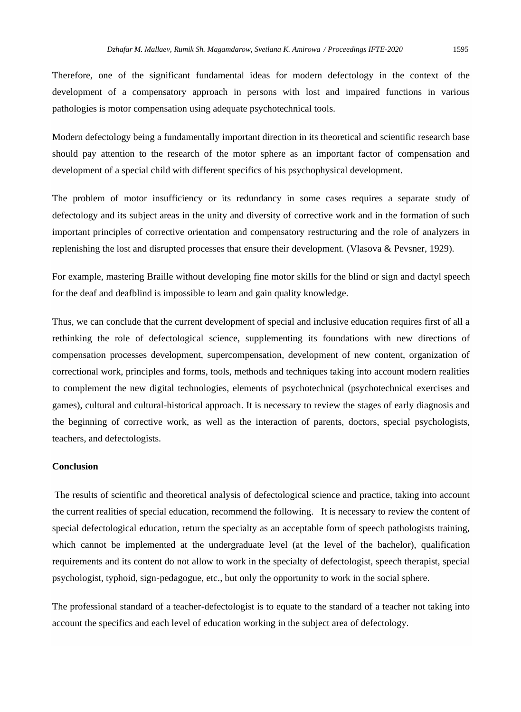Therefore, one of the significant fundamental ideas for modern defectology in the context of the development of a compensatory approach in persons with lost and impaired functions in various pathologies is motor compensation using adequate psychotechnical tools.

Modern defectology being a fundamentally important direction in its theoretical and scientific research base should pay attention to the research of the motor sphere as an important factor of compensation and development of a special child with different specifics of his psychophysical development.

The problem of motor insufficiency or its redundancy in some cases requires a separate study of defectology and its subject areas in the unity and diversity of corrective work and in the formation of such important principles of corrective orientation and compensatory restructuring and the role of analyzers in replenishing the lost and disrupted processes that ensure their development. (Vlasova & Pevsner, 1929).

For example, mastering Braille without developing fine motor skills for the blind or sign and dactyl speech for the deaf and deafblind is impossible to learn and gain quality knowledge.

Thus, we can conclude that the current development of special and inclusive education requires first of all a rethinking the role of defectological science, supplementing its foundations with new directions of compensation processes development, supercompensation, development of new content, organization of correctional work, principles and forms, tools, methods and techniques taking into account modern realities to complement the new digital technologies, elements of psychotechnical (psychotechnical exercises and games), cultural and cultural-historical approach. It is necessary to review the stages of early diagnosis and the beginning of corrective work, as well as the interaction of parents, doctors, special psychologists, teachers, and defectologists.

## **Conclusion**

The results of scientific and theoretical analysis of defectological science and practice, taking into account the current realities of special education, recommend the following. It is necessary to review the content of special defectological education, return the specialty as an acceptable form of speech pathologists training, which cannot be implemented at the undergraduate level (at the level of the bachelor), qualification requirements and its content do not allow to work in the specialty of defectologist, speech therapist, special psychologist, typhoid, sign-pedagogue, etc., but only the opportunity to work in the social sphere.

The professional standard of a teacher-defectologist is to equate to the standard of a teacher not taking into account the specifics and each level of education working in the subject area of defectology.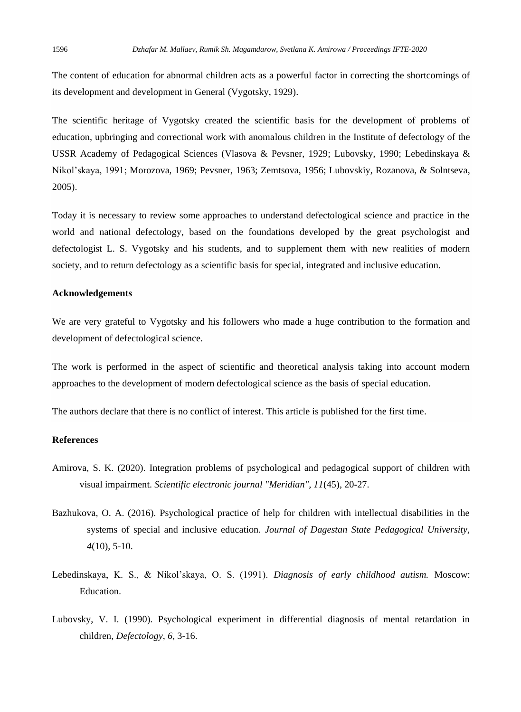The content of education for abnormal children acts as a powerful factor in correcting the shortcomings of its development and development in General (Vygotsky, 1929).

The scientific heritage of Vygotsky created the scientific basis for the development of problems of education, upbringing and correctional work with anomalous children in the Institute of defectology of the USSR Academy of Pedagogical Sciences (Vlasova & Pevsner, 1929; Lubovsky, 1990; Lebedinskaya & Nikol'skaya, 1991; Morozova, 1969; Pevsner, 1963; Zemtsova, 1956; Lubovskiy, Rozanova, & Solntseva, 2005).

Today it is necessary to review some approaches to understand defectological science and practice in the world and national defectology, based on the foundations developed by the great psychologist and defectologist L. S. Vygotsky and his students, and to supplement them with new realities of modern society, and to return defectology as a scientific basis for special, integrated and inclusive education.

## **Acknowledgements**

We are very grateful to Vygotsky and his followers who made a huge contribution to the formation and development of defectological science.

The work is performed in the aspect of scientific and theoretical analysis taking into account modern approaches to the development of modern defectological science as the basis of special education.

The authors declare that there is no conflict of interest. This article is published for the first time.

### **References**

- Amirova, S. K. (2020). Integration problems of psychological and pedagogical support of children with visual impairment. *Scientific electronic journal "Meridian", 11*(45), 20-27.
- Bazhukova, O. A. (2016). Psychological practice of help for children with intellectual disabilities in the systems of special and inclusive education. *Journal of Dagestan State Pedagogical University, 4*(10), 5-10.
- Lebedinskaya, K. S., & Nikol'skaya, O. S. (1991). *Diagnosis of early childhood autism.* Moscow: Education.
- Lubovsky, V. I. (1990). Psychological experiment in differential diagnosis of mental retardation in children, *Defectology*, *6*, 3-16.